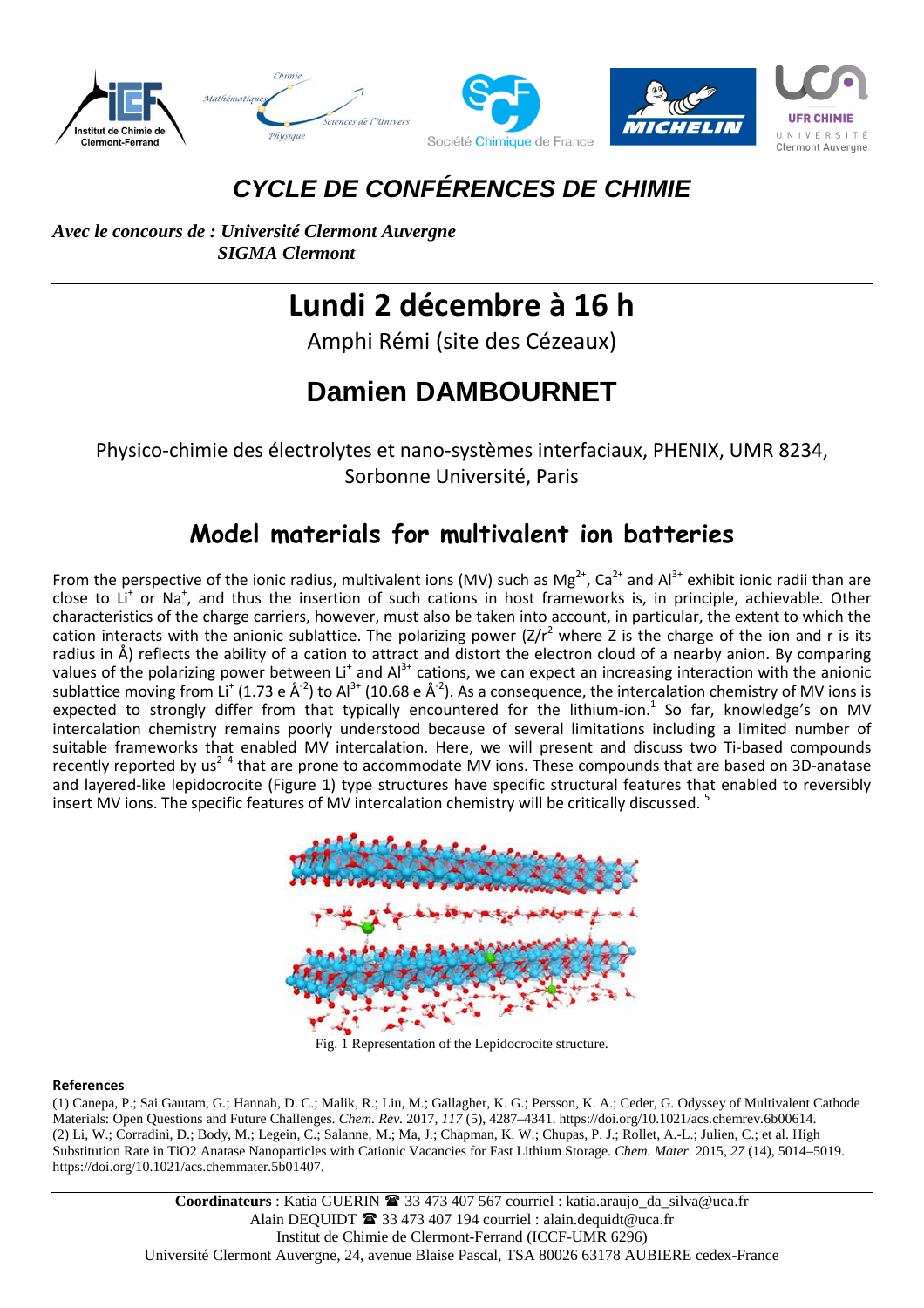

### **CYCLE DE CONFÉRENCES DE CHIMIE**

*Avec le concours de : Université Clermont Auvergne SIGMA Clermont* 

# **Lundi 2 décembre à 16 h**

Amphi Rémi (site des Cézeaux)

## **Damien DAMBOURNET**

Physico-chimie des électrolytes et nano-systèmes interfaciaux, PHENIX, UMR 8234, Sorbonne Université, Paris

#### **Model materials for multivalent ion batteries**

From the perspective of the ionic radius, multivalent ions (MV) such as Mg<sup>2+</sup>, Ca<sup>2+</sup> and Al<sup>3+</sup> exhibit ionic radii than are close to Li<sup>+</sup> or Na<sup>+</sup>, and thus the insertion of such cations in host frameworks is, in principle, achievable. Other characteristics of the charge carriers, however, must also be taken into account, in particular, the extent to which the cation interacts with the anionic sublattice. The polarizing power  $(Z/r^2$  where Z is the charge of the ion and r is its radius in Å) reflects the ability of a cation to attract and distort the electron cloud of a nearby anion. By comparing values of the polarizing power between Li<sup>+</sup> and Al<sup>3+</sup> cations, we can expect an increasing interaction with the anionic sublattice moving from Li<sup>+</sup> (1.73 e Å<sup>-2</sup>) to Al<sup>3+</sup> (10.68 e Å<sup>-2</sup>). As a consequence, the intercalation chemistry of MV ions is expected to strongly differ from that typically encountered for the lithium-ion.<sup>1</sup> So far, knowledge's on MV intercalation chemistry remains poorly understood because of several limitations including a limited number of suitable frameworks that enabled MV intercalation. Here, we will present and discuss two Ti-based compounds recently reported by us<sup>2-4</sup> that are prone to accommodate MV ions. These compounds that are based on 3D-anatase and layered-like lepidocrocite (Figure 1) type structures have specific structural features that enabled to reversibly insert MV ions. The specific features of MV intercalation chemistry will be critically discussed.<sup>5</sup>



Fig. 1 Representation of the Lepidocrocite structure.

#### **References**

(1) Canepa, P.; Sai Gautam, G.; Hannah, D. C.; Malik, R.; Liu, M.; Gallagher, K. G.; Persson, K. A.; Ceder, G. Odyssey of Multivalent Cathode Materials: Open Questions and Future Challenges. *Chem. Rev.* 2017, *117* (5), 4287–4341. https://doi.org/10.1021/acs.chemrev.6b00614. (2) Li, W.; Corradini, D.; Body, M.; Legein, C.; Salanne, M.; Ma, J.; Chapman, K. W.; Chupas, P. J.; Rollet, A.-L.; Julien, C.; et al. High Substitution Rate in TiO2 Anatase Nanoparticles with Cationic Vacancies for Fast Lithium Storage. *Chem. Mater.* 2015, *27* (14), 5014–5019. https://doi.org/10.1021/acs.chemmater.5b01407.